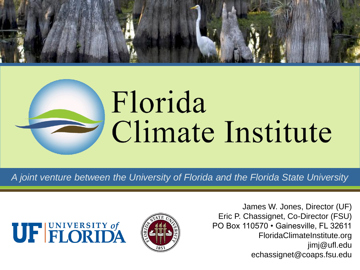

# Florida Climate Institute

*A joint venture between the University of Florida and the Florida State University*





James W. Jones, Director (UF) Eric P. Chassignet, Co-Director (FSU) PO Box 110570 • Gainesville, FL 32611 FloridaClimateInstitute.org jimj@ufl.edu echassignet@coaps.fsu.edu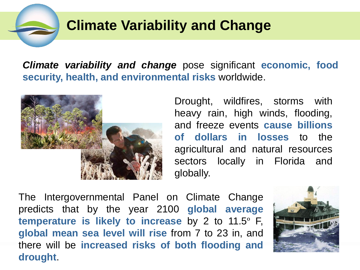#### **Climate Variability and Change**

*Climate variability and change* pose significant **economic, food security, health, and environmental risks** worldwide.



Drought, wildfires, storms with heavy rain, high winds, flooding, and freeze events **cause billions of dollars in losses** to the agricultural and natural resources sectors locally in Florida and globally.

The Intergovernmental Panel on Climate Change predicts that by the year 2100 **global average temperature is likely to increase** by 2 to 11.5º F, **global mean sea level will rise** from 7 to 23 in, and there will be **increased risks of both flooding and drought**.

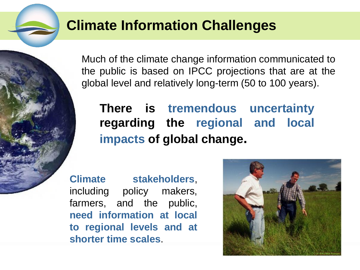#### **Climate Information Challenges**

Much of the climate change information communicated to the public is based on IPCC projections that are at the global level and relatively long-term (50 to 100 years).

#### **There is tremendous uncertainty regarding the regional and local impacts of global change.**

**Climate stakeholders**, including policy makers, farmers, and the public, **need information at local to regional levels and at shorter time scales**.

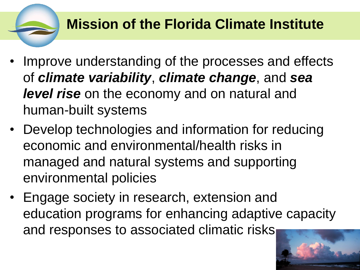## **Mission of the Florida Climate Institute**

- Improve understanding of the processes and effects of *climate variability*, *climate change*, and *sea level rise* on the economy and on natural and human-built systems
- Develop technologies and information for reducing economic and environmental/health risks in managed and natural systems and supporting environmental policies
- Engage society in research, extension and education programs for enhancing adaptive capacity and responses to associated climatic risks

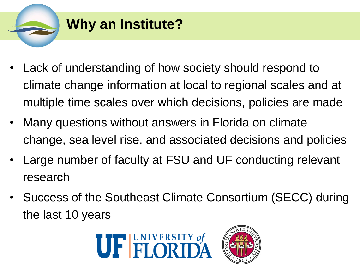

- Lack of understanding of how society should respond to climate change information at local to regional scales and at multiple time scales over which decisions, policies are made
- Many questions without answers in Florida on climate change, sea level rise, and associated decisions and policies
- Large number of faculty at FSU and UF conducting relevant research
- Success of the Southeast Climate Consortium (SECC) during the last 10 years



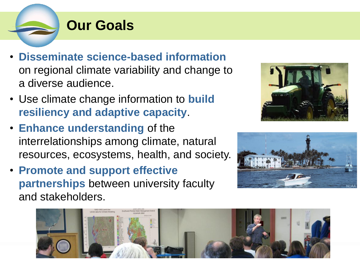

### **Our Goals**

- **Disseminate science-based information** on regional climate variability and change to a diverse audience.
- Use climate change information to **build resiliency and adaptive capacity**.
- **Enhance understanding** of the interrelationships among climate, natural resources, ecosystems, health, and society.
- **Promote and support effective partnerships** between university faculty and stakeholders.





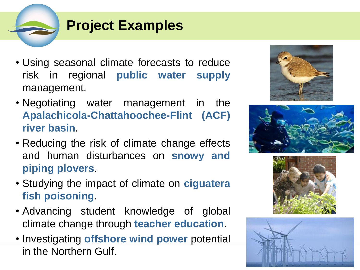# **Project Examples**

- Using seasonal climate forecasts to reduce risk in regional **public water supply** management.
- Negotiating water management in the **Apalachicola-Chattahoochee-Flint (ACF) river basin**.
- Reducing the risk of climate change effects and human disturbances on **snowy and piping plovers**.
- Studying the impact of climate on **ciguatera fish poisoning**.
- Advancing student knowledge of global climate change through **teacher education**.
- Investigating **offshore wind power** potential in the Northern Gulf.







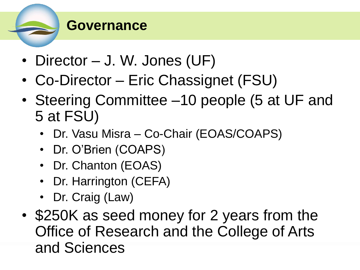

#### **Governance**

- Director J. W. Jones (UF)
- Co-Director Eric Chassignet (FSU)
- Steering Committee –10 people (5 at UF and 5 at FSU)
	- Dr. Vasu Misra Co-Chair (EOAS/COAPS)
	- Dr. O'Brien (COAPS)
	- Dr. Chanton (EOAS)
	- Dr. Harrington (CEFA)
	- Dr. Craig (Law)
- \$250K as seed money for 2 years from the Office of Research and the College of Arts and Sciences